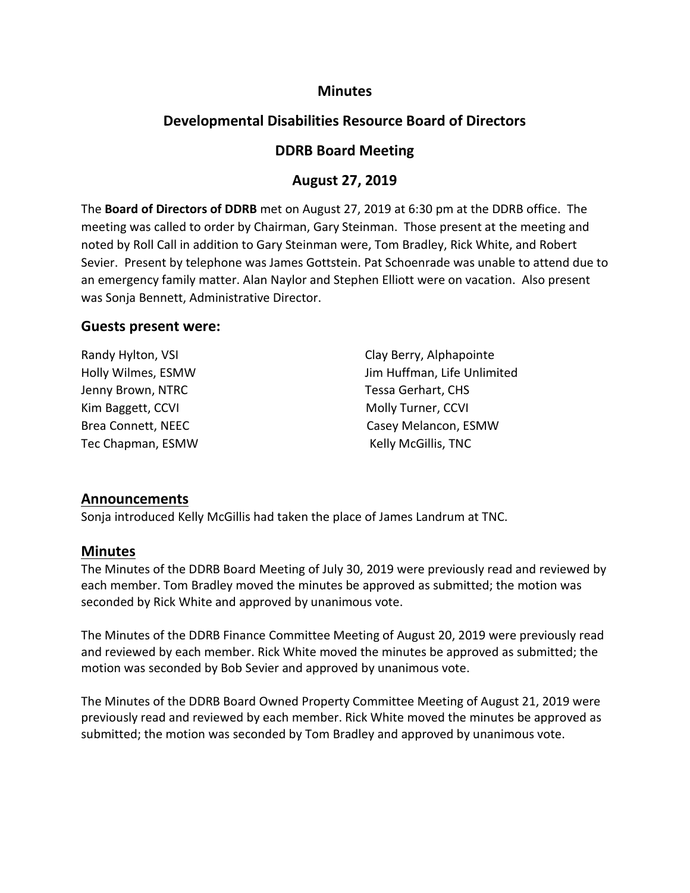### **Minutes**

# **Developmental Disabilities Resource Board of Directors**

## **DDRB Board Meeting**

## **August 27, 2019**

The **Board of Directors of DDRB** met on August 27, 2019 at 6:30 pm at the DDRB office. The meeting was called to order by Chairman, Gary Steinman. Those present at the meeting and noted by Roll Call in addition to Gary Steinman were, Tom Bradley, Rick White, and Robert Sevier. Present by telephone was James Gottstein. Pat Schoenrade was unable to attend due to an emergency family matter. Alan Naylor and Stephen Elliott were on vacation. Also present was Sonja Bennett, Administrative Director.

#### **Guests present were:**

| Randy Hylton, VSI  | Clay Berry, Alphapointe     |
|--------------------|-----------------------------|
| Holly Wilmes, ESMW | Jim Huffman, Life Unlimited |
| Jenny Brown, NTRC  | Tessa Gerhart, CHS          |
| Kim Baggett, CCVI  | Molly Turner, CCVI          |
| Brea Connett, NEEC | Casey Melancon, ESMW        |
| Tec Chapman, ESMW  | Kelly McGillis, TNC         |

### **Announcements**

Sonja introduced Kelly McGillis had taken the place of James Landrum at TNC.

### **Minutes**

The Minutes of the DDRB Board Meeting of July 30, 2019 were previously read and reviewed by each member. Tom Bradley moved the minutes be approved as submitted; the motion was seconded by Rick White and approved by unanimous vote.

The Minutes of the DDRB Finance Committee Meeting of August 20, 2019 were previously read and reviewed by each member. Rick White moved the minutes be approved as submitted; the motion was seconded by Bob Sevier and approved by unanimous vote.

The Minutes of the DDRB Board Owned Property Committee Meeting of August 21, 2019 were previously read and reviewed by each member. Rick White moved the minutes be approved as submitted; the motion was seconded by Tom Bradley and approved by unanimous vote.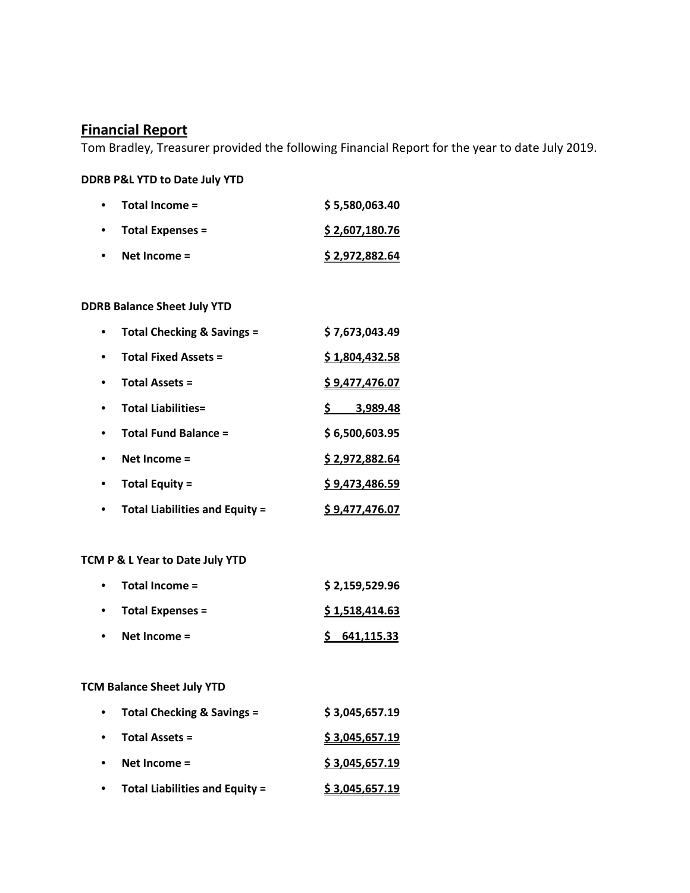## **Financial Report**

Tom Bradley, Treasurer provided the following Financial Report for the year to date July 2019.

#### **DDRB P&L YTD to Date July YTD**

|           | $\bullet$ Total Income = | \$5,580,063.40 |
|-----------|--------------------------|----------------|
|           | • Total Expenses $=$     | \$2,607,180.76 |
| $\bullet$ | Net Income $=$           | \$2,972,882.64 |

#### **DDRB Balance Sheet July YTD**

| Total Checking & Savings =            | \$7,673,043.49 |
|---------------------------------------|----------------|
| <b>Total Fixed Assets =</b>           | \$1,804,432.58 |
| <b>Total Assets =</b>                 | \$9,477,476.07 |
| <b>Total Liabilities=</b>             | 3,989.48       |
| <b>Total Fund Balance =</b>           | \$6,500,603.95 |
| Net Income $=$                        | \$2,972,882.64 |
| <b>Total Equity =</b>                 | \$9,473,486.59 |
| <b>Total Liabilities and Equity =</b> | \$9,477,476.07 |

#### **TCM P & L Year to Date July YTD**

| Total Income =   | \$2,159,529.96 |
|------------------|----------------|
| Total Expenses = | \$1,518,414.63 |
| Net Income $=$   | \$641,115.33   |

#### **TCM Balance Sheet July YTD**

| $\bullet$ | <b>Total Checking &amp; Savings =</b> | \$3,045,657.19 |
|-----------|---------------------------------------|----------------|
| $\bullet$ | Total Assets =                        | \$3,045,657.19 |
|           | Net Income =                          | \$3,045,657.19 |
|           | <b>Total Liabilities and Equity =</b> | \$3,045,657.19 |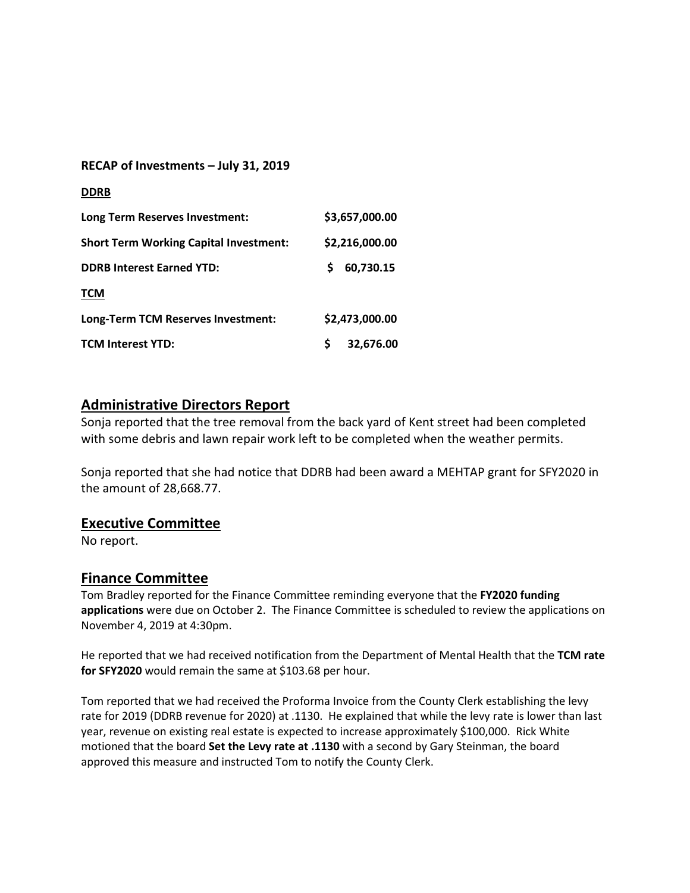| RECAP of Investments - July 31, 2019 |  |  |
|--------------------------------------|--|--|
|--------------------------------------|--|--|

| <b>DDRB</b>                                   |                |
|-----------------------------------------------|----------------|
| Long Term Reserves Investment:                | \$3,657,000.00 |
| <b>Short Term Working Capital Investment:</b> | \$2,216,000.00 |
| <b>DDRB Interest Earned YTD:</b>              | 60,730.15<br>S |
| <b>TCM</b>                                    |                |
| Long-Term TCM Reserves Investment:            | \$2,473,000.00 |
| <b>TCM Interest YTD:</b>                      | Ś<br>32,676.00 |

# **Administrative Directors Report**

Sonja reported that the tree removal from the back yard of Kent street had been completed with some debris and lawn repair work left to be completed when the weather permits.

Sonja reported that she had notice that DDRB had been award a MEHTAP grant for SFY2020 in the amount of 28,668.77.

### **Executive Committee**

No report.

### **Finance Committee**

Tom Bradley reported for the Finance Committee reminding everyone that the **FY2020 funding applications** were due on October 2. The Finance Committee is scheduled to review the applications on November 4, 2019 at 4:30pm.

He reported that we had received notification from the Department of Mental Health that the **TCM rate for SFY2020** would remain the same at \$103.68 per hour.

Tom reported that we had received the Proforma Invoice from the County Clerk establishing the levy rate for 2019 (DDRB revenue for 2020) at .1130. He explained that while the levy rate is lower than last year, revenue on existing real estate is expected to increase approximately \$100,000. Rick White motioned that the board **Set the Levy rate at .1130** with a second by Gary Steinman, the board approved this measure and instructed Tom to notify the County Clerk.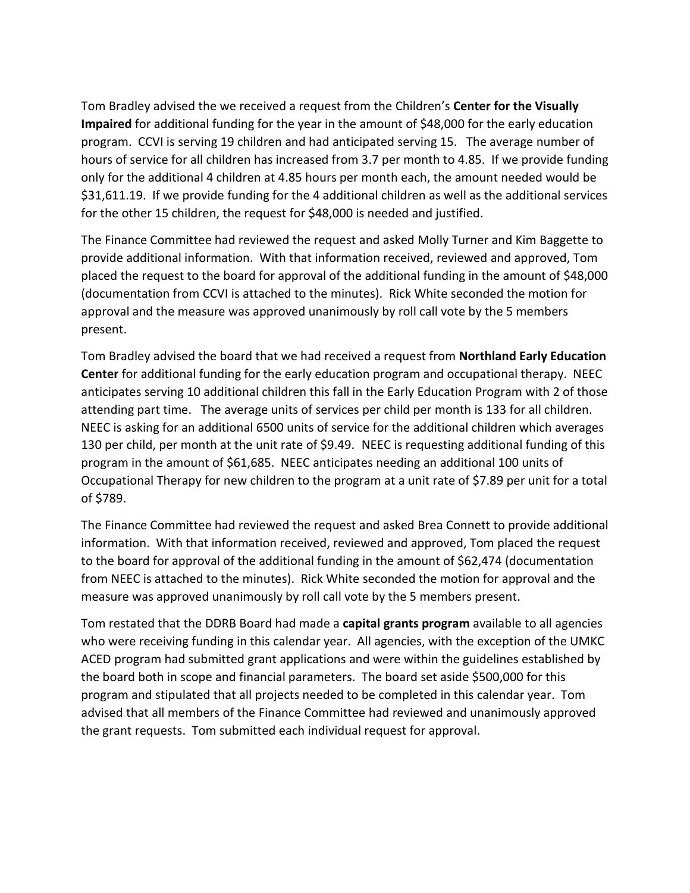Tom Bradley advised the we received a request from the Children's **Center for the Visually Impaired** for additional funding for the year in the amount of \$48,000 for the early education program. CCVI is serving 19 children and had anticipated serving 15. The average number of hours of service for all children has increased from 3.7 per month to 4.85. If we provide funding only for the additional 4 children at 4.85 hours per month each, the amount needed would be \$31,611.19. If we provide funding for the 4 additional children as well as the additional services for the other 15 children, the request for \$48,000 is needed and justified.

The Finance Committee had reviewed the request and asked Molly Turner and Kim Baggette to provide additional information. With that information received, reviewed and approved, Tom placed the request to the board for approval of the additional funding in the amount of \$48,000 (documentation from CCVI is attached to the minutes). Rick White seconded the motion for approval and the measure was approved unanimously by roll call vote by the 5 members present.

Tom Bradley advised the board that we had received a request from **Northland Early Education Center** for additional funding for the early education program and occupational therapy. NEEC anticipates serving 10 additional children this fall in the Early Education Program with 2 of those attending part time. The average units of services per child per month is 133 for all children. NEEC is asking for an additional 6500 units of service for the additional children which averages 130 per child, per month at the unit rate of \$9.49. NEEC is requesting additional funding of this program in the amount of \$61,685. NEEC anticipates needing an additional 100 units of Occupational Therapy for new children to the program at a unit rate of \$7.89 per unit for a total of \$789.

The Finance Committee had reviewed the request and asked Brea Connett to provide additional information. With that information received, reviewed and approved, Tom placed the request to the board for approval of the additional funding in the amount of \$62,474 (documentation from NEEC is attached to the minutes). Rick White seconded the motion for approval and the measure was approved unanimously by roll call vote by the 5 members present.

Tom restated that the DDRB Board had made a **capital grants program** available to all agencies who were receiving funding in this calendar year. All agencies, with the exception of the UMKC ACED program had submitted grant applications and were within the guidelines established by the board both in scope and financial parameters. The board set aside \$500,000 for this program and stipulated that all projects needed to be completed in this calendar year. Tom advised that all members of the Finance Committee had reviewed and unanimously approved the grant requests. Tom submitted each individual request for approval.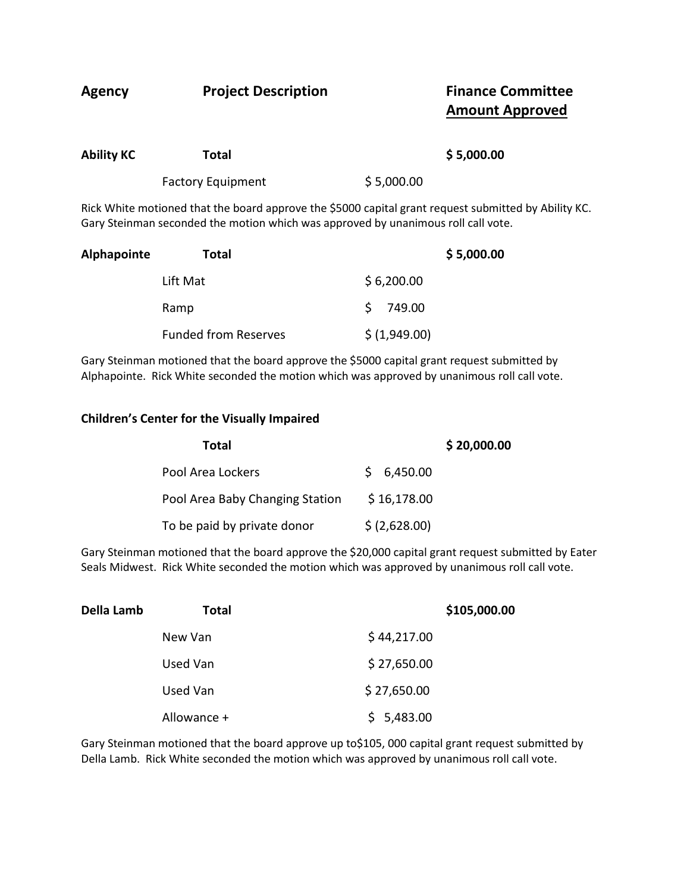| Agency            | <b>Project Description</b> | <b>Finance Committee</b><br><b>Amount Approved</b>                                                   |
|-------------------|----------------------------|------------------------------------------------------------------------------------------------------|
| <b>Ability KC</b> | Total                      | \$5,000.00                                                                                           |
|                   | <b>Factory Equipment</b>   | \$5,000.00                                                                                           |
|                   |                            | Rick White motioned that the board approve the \$5000 capital grant request submitted by Ability KC. |

Gary Steinman seconded the motion which was approved by unanimous roll call vote. **Alphapointe Total \$ 5,000.00**

| νιμιαμυιιιτε | ı utal                      | יט.טעט, כ     |
|--------------|-----------------------------|---------------|
|              | Lift Mat                    | \$6,200.00    |
|              | Ramp                        | \$749.00      |
|              | <b>Funded from Reserves</b> | \$ (1,949.00) |

Gary Steinman motioned that the board approve the \$5000 capital grant request submitted by Alphapointe. Rick White seconded the motion which was approved by unanimous roll call vote.

#### **Children's Center for the Visually Impaired**

| Total                           | \$20,000.00   |
|---------------------------------|---------------|
| Pool Area Lockers               | \$6,450.00    |
| Pool Area Baby Changing Station | \$16,178.00   |
| To be paid by private donor     | \$ (2,628.00) |

Gary Steinman motioned that the board approve the \$20,000 capital grant request submitted by Eater Seals Midwest. Rick White seconded the motion which was approved by unanimous roll call vote.

| Della Lamb | Total       |             | \$105,000.00 |
|------------|-------------|-------------|--------------|
|            | New Van     | \$44,217.00 |              |
|            | Used Van    | \$27,650.00 |              |
|            | Used Van    | \$27,650.00 |              |
|            | Allowance + | \$5,483.00  |              |

Gary Steinman motioned that the board approve up to\$105, 000 capital grant request submitted by Della Lamb. Rick White seconded the motion which was approved by unanimous roll call vote.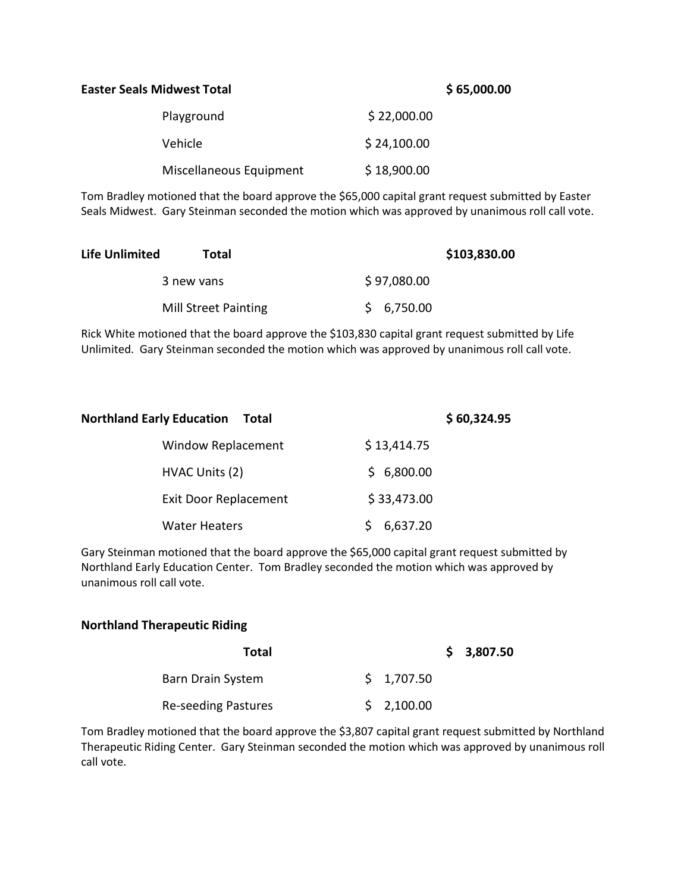#### **Easter Seals Midwest Total \$ 65,000.00**

| Playground              | \$22,000.00 |
|-------------------------|-------------|
| Vehicle                 | \$24,100.00 |
| Miscellaneous Equipment | \$18,900.00 |

Tom Bradley motioned that the board approve the \$65,000 capital grant request submitted by Easter Seals Midwest. Gary Steinman seconded the motion which was approved by unanimous roll call vote.

| <b>Life Unlimited</b> | Total                       |             | \$103,830.00 |
|-----------------------|-----------------------------|-------------|--------------|
|                       | 3 new vans                  | \$97,080.00 |              |
|                       | <b>Mill Street Painting</b> | \$6,750.00  |              |

Rick White motioned that the board approve the \$103,830 capital grant request submitted by Life Unlimited. Gary Steinman seconded the motion which was approved by unanimous roll call vote.

| <b>Northland Early Education</b><br>Total | \$60,324.95 |
|-------------------------------------------|-------------|
| Window Replacement                        | \$13,414.75 |
| HVAC Units (2)                            | \$6,800.00  |
| <b>Exit Door Replacement</b>              | \$33,473.00 |
| <b>Water Heaters</b>                      | 6,637.20    |

Gary Steinman motioned that the board approve the \$65,000 capital grant request submitted by Northland Early Education Center. Tom Bradley seconded the motion which was approved by unanimous roll call vote.

#### **Northland Therapeutic Riding**

| Total                      |            | \$3,807.50 |
|----------------------------|------------|------------|
| Barn Drain System          | \$1,707.50 |            |
| <b>Re-seeding Pastures</b> | \$2,100.00 |            |

Tom Bradley motioned that the board approve the \$3,807 capital grant request submitted by Northland Therapeutic Riding Center. Gary Steinman seconded the motion which was approved by unanimous roll call vote.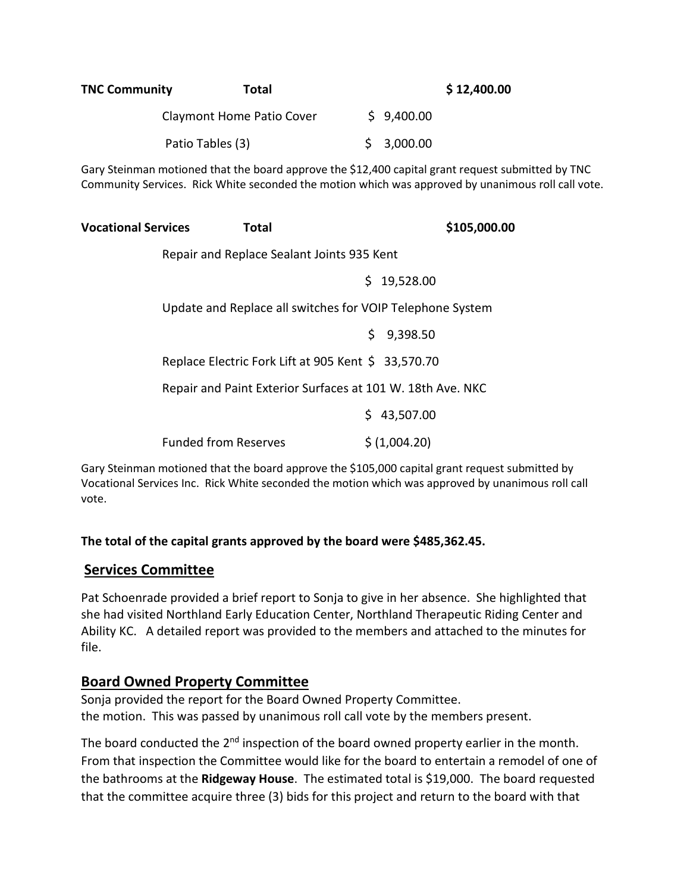| <b>TNC Community</b><br><b>Total</b>                                                                                                                                                                    |                                                            | \$12,400.00 |               |  |  |
|---------------------------------------------------------------------------------------------------------------------------------------------------------------------------------------------------------|------------------------------------------------------------|-------------|---------------|--|--|
|                                                                                                                                                                                                         | Claymont Home Patio Cover                                  |             | \$9,400.00    |  |  |
| Patio Tables (3)                                                                                                                                                                                        |                                                            | \$          | 3,000.00      |  |  |
| Gary Steinman motioned that the board approve the \$12,400 capital grant request submitted by TNC<br>Community Services. Rick White seconded the motion which was approved by unanimous roll call vote. |                                                            |             |               |  |  |
| <b>Vocational Services</b>                                                                                                                                                                              | <b>Total</b>                                               |             | \$105,000.00  |  |  |
| Repair and Replace Sealant Joints 935 Kent                                                                                                                                                              |                                                            |             |               |  |  |
|                                                                                                                                                                                                         |                                                            |             | \$19,528.00   |  |  |
|                                                                                                                                                                                                         | Update and Replace all switches for VOIP Telephone System  |             |               |  |  |
|                                                                                                                                                                                                         |                                                            |             | \$9,398.50    |  |  |
|                                                                                                                                                                                                         | Replace Electric Fork Lift at 905 Kent \$ 33,570.70        |             |               |  |  |
|                                                                                                                                                                                                         | Repair and Paint Exterior Surfaces at 101 W. 18th Ave. NKC |             |               |  |  |
|                                                                                                                                                                                                         |                                                            |             | \$43,507.00   |  |  |
|                                                                                                                                                                                                         | <b>Funded from Reserves</b>                                |             | \$ (1,004.20) |  |  |

Gary Steinman motioned that the board approve the \$105,000 capital grant request submitted by Vocational Services Inc. Rick White seconded the motion which was approved by unanimous roll call vote.

### **The total of the capital grants approved by the board were \$485,362.45.**

## **Services Committee**

Pat Schoenrade provided a brief report to Sonja to give in her absence. She highlighted that she had visited Northland Early Education Center, Northland Therapeutic Riding Center and Ability KC. A detailed report was provided to the members and attached to the minutes for file.

## **Board Owned Property Committee**

Sonja provided the report for the Board Owned Property Committee. the motion. This was passed by unanimous roll call vote by the members present.

The board conducted the 2<sup>nd</sup> inspection of the board owned property earlier in the month. From that inspection the Committee would like for the board to entertain a remodel of one of the bathrooms at the **Ridgeway House**. The estimated total is \$19,000. The board requested that the committee acquire three (3) bids for this project and return to the board with that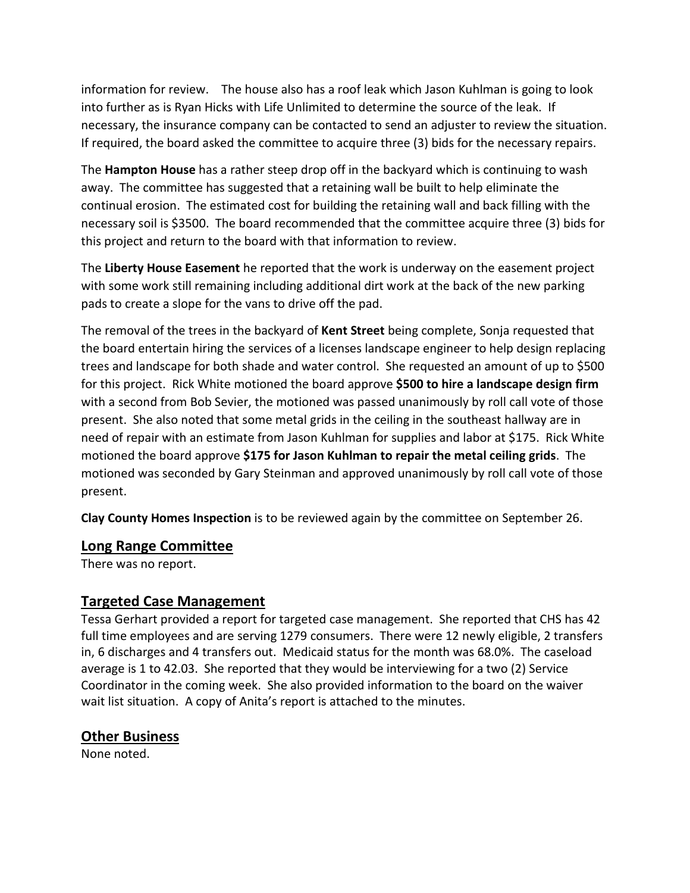information for review. The house also has a roof leak which Jason Kuhlman is going to look into further as is Ryan Hicks with Life Unlimited to determine the source of the leak. If necessary, the insurance company can be contacted to send an adjuster to review the situation. If required, the board asked the committee to acquire three (3) bids for the necessary repairs.

The **Hampton House** has a rather steep drop off in the backyard which is continuing to wash away. The committee has suggested that a retaining wall be built to help eliminate the continual erosion. The estimated cost for building the retaining wall and back filling with the necessary soil is \$3500. The board recommended that the committee acquire three (3) bids for this project and return to the board with that information to review.

The **Liberty House Easement** he reported that the work is underway on the easement project with some work still remaining including additional dirt work at the back of the new parking pads to create a slope for the vans to drive off the pad.

The removal of the trees in the backyard of **Kent Street** being complete, Sonja requested that the board entertain hiring the services of a licenses landscape engineer to help design replacing trees and landscape for both shade and water control. She requested an amount of up to \$500 for this project. Rick White motioned the board approve **\$500 to hire a landscape design firm** with a second from Bob Sevier, the motioned was passed unanimously by roll call vote of those present. She also noted that some metal grids in the ceiling in the southeast hallway are in need of repair with an estimate from Jason Kuhlman for supplies and labor at \$175. Rick White motioned the board approve **\$175 for Jason Kuhlman to repair the metal ceiling grids**. The motioned was seconded by Gary Steinman and approved unanimously by roll call vote of those present.

**Clay County Homes Inspection** is to be reviewed again by the committee on September 26.

## **Long Range Committee**

There was no report.

## **Targeted Case Management**

Tessa Gerhart provided a report for targeted case management. She reported that CHS has 42 full time employees and are serving 1279 consumers. There were 12 newly eligible, 2 transfers in, 6 discharges and 4 transfers out. Medicaid status for the month was 68.0%. The caseload average is 1 to 42.03. She reported that they would be interviewing for a two (2) Service Coordinator in the coming week. She also provided information to the board on the waiver wait list situation. A copy of Anita's report is attached to the minutes.

# **Other Business**

None noted.